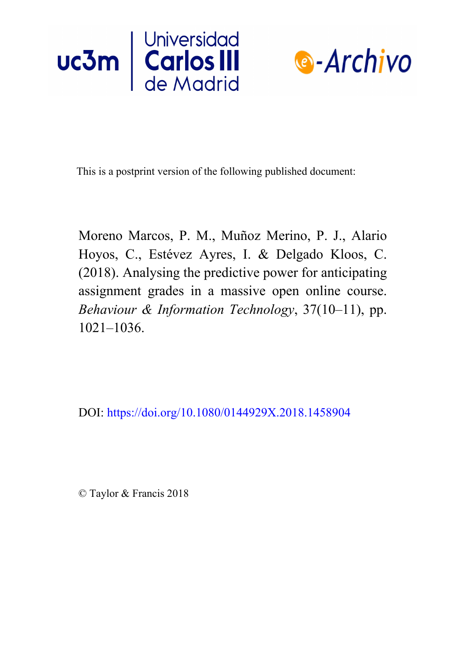



This is a postprint version of the following published document:

Moreno Marcos, P. M., Muñoz Merino, P. J., Alario Hoyos, C., Estévez Ayres, I. & Delgado Kloos, C. (2018). Analysing the predictive power for anticipating assignment grades in a massive open online course. *Behaviour & Information Technology*, 37(10–11), pp. 1021–1036.

DOI: https://doi.org/10.1080/0144929X.2018.1458904

© Taylor & Francis 2018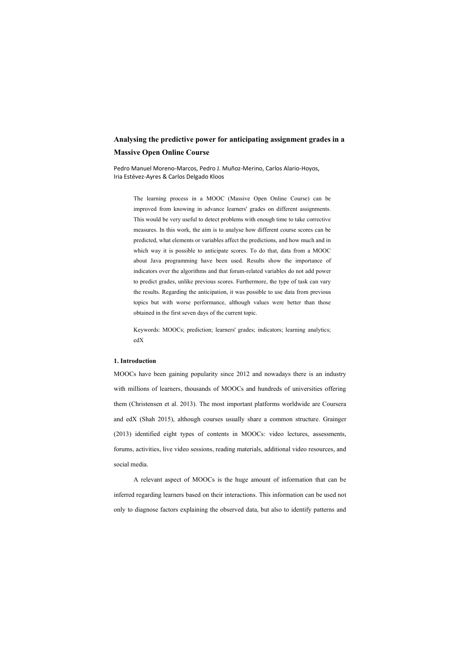# **Analysing the predictive power for anticipating assignment grades in a Massive Open Online Course**

Pedro Manuel Moreno-Marcos, Pedro J. Muñoz-Merino, Carlos Alario-Hoyos, Iria Estévez-Ayres & Carlos Delgado Kloos

The learning process in a MOOC (Massive Open Online Course) can be improved from knowing in advance learners' grades on different assignments. This would be very useful to detect problems with enough time to take corrective measures. In this work, the aim is to analyse how different course scores can be predicted, what elements or variables affect the predictions, and how much and in which way it is possible to anticipate scores. To do that, data from a MOOC about Java programming have been used. Results show the importance of indicators over the algorithms and that forum-related variables do not add power to predict grades, unlike previous scores. Furthermore, the type of task can vary the results. Regarding the anticipation, it was possible to use data from previous topics but with worse performance, although values were better than those obtained in the first seven days of the current topic.

Keywords: MOOCs; prediction; learners' grades; indicators; learning analytics; edX

### **1. Introduction**

MOOCs have been gaining popularity since 2012 and nowadays there is an industry with millions of learners, thousands of MOOCs and hundreds of universities offering them (Christensen et al. 2013). The most important platforms worldwide are Coursera and edX (Shah 2015), although courses usually share a common structure. Grainger (2013) identified eight types of contents in MOOCs: video lectures, assessments, forums, activities, live video sessions, reading materials, additional video resources, and social media.

A relevant aspect of MOOCs is the huge amount of information that can be inferred regarding learners based on their interactions. This information can be used not only to diagnose factors explaining the observed data, but also to identify patterns and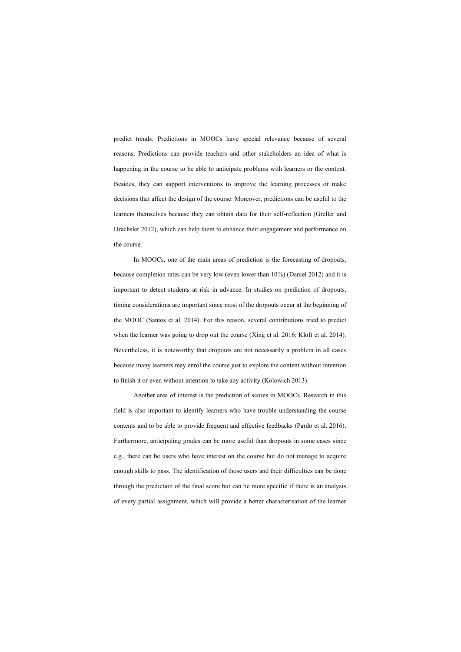predict trends. Predictions in MOOCs have special relevance because of several reasons. Predictions can provide teachers and other stakeholders an idea of what is happening in the course to be able to anticipate problems with learners or the content. Besides, they can support interventions to improve the learning processes or make decisions that affect the design of the course. Moreover, predictions can be useful to the learners themselves because they can obtain data for their self-reflection (Greller and Drachsler 2012), which can help them to enhance their engagement and performance on the course.

In MOOCs, one of the main areas of prediction is the forecasting of dropouts, because completion rates can be very low (even lower than 10%) (Daniel 2012) and it is important to detect students at risk in advance. In studies on prediction of dropouts, timing considerations are important since most of the dropouts occur at the beginning of the MOOC (Santos et al. 2014). For this reason, several contributions tried to predict when the learner was going to drop out the course (Xing et al. 2016; Kloft et al. 2014). Nevertheless, it is noteworthy that dropouts are not necessarily a problem in all cases because many learners may enrol the course just to explore the content without intention to finish it or even without intention to take any activity (Kolowich 2013).

Another area of interest is the prediction of scores in MOOCs. Research in this field is also important to identify learners who have trouble understanding the course contents and to be able to provide frequent and effective feedbacks (Pardo et al. 2016). Furthermore, anticipating grades can be more useful than dropouts in some cases since e.g., there can be users who have interest on the course but do not manage to acquire enough skills to pass. The identification of those users and their difficulties can be done through the prediction of the final score but can be more specific if there is an analysis of every partial assignment, which will provide a better characterisation of the learner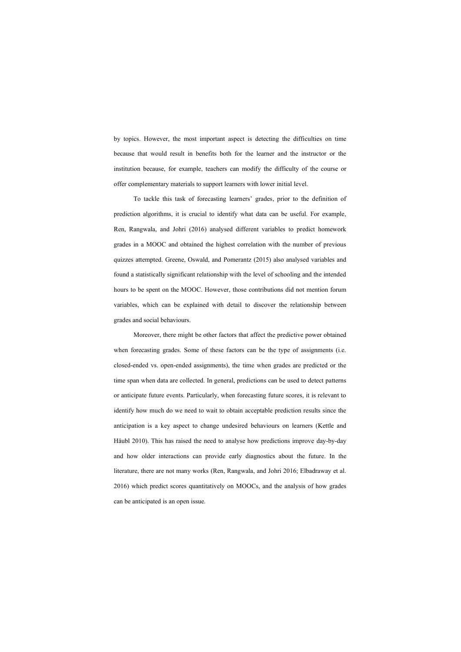by topics. However, the most important aspect is detecting the difficulties on time because that would result in benefits both for the learner and the instructor or the institution because, for example, teachers can modify the difficulty of the course or offer complementary materials to support learners with lower initial level.

To tackle this task of forecasting learners' grades, prior to the definition of prediction algorithms, it is crucial to identify what data can be useful. For example, Ren, Rangwala, and Johri (2016) analysed different variables to predict homework grades in a MOOC and obtained the highest correlation with the number of previous quizzes attempted. Greene, Oswald, and Pomerantz (2015) also analysed variables and found a statistically significant relationship with the level of schooling and the intended hours to be spent on the MOOC. However, those contributions did not mention forum variables, which can be explained with detail to discover the relationship between grades and social behaviours.

Moreover, there might be other factors that affect the predictive power obtained when forecasting grades. Some of these factors can be the type of assignments (i.e. closed-ended vs. open-ended assignments), the time when grades are predicted or the time span when data are collected. In general, predictions can be used to detect patterns or anticipate future events. Particularly, when forecasting future scores, it is relevant to identify how much do we need to wait to obtain acceptable prediction results since the anticipation is a key aspect to change undesired behaviours on learners (Kettle and Häubl 2010). This has raised the need to analyse how predictions improve day-by-day and how older interactions can provide early diagnostics about the future. In the literature, there are not many works (Ren, Rangwala, and Johri 2016; Elbadraway et al. 2016) which predict scores quantitatively on MOOCs, and the analysis of how grades can be anticipated is an open issue.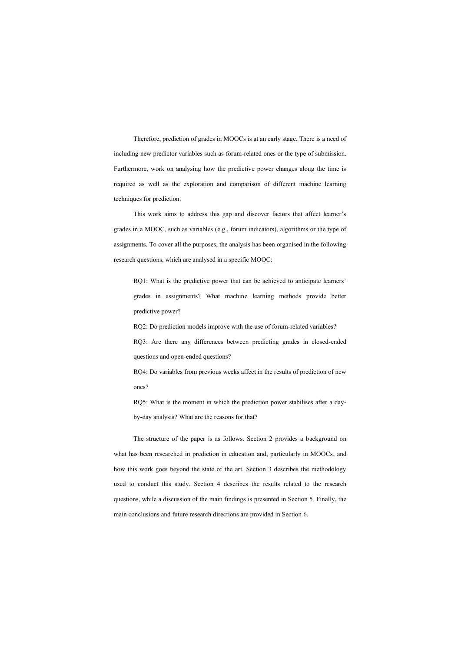Therefore, prediction of grades in MOOCs is at an early stage. There is a need of including new predictor variables such as forum-related ones or the type of submission. Furthermore, work on analysing how the predictive power changes along the time is required as well as the exploration and comparison of different machine learning techniques for prediction.

This work aims to address this gap and discover factors that affect learner's grades in a MOOC, such as variables (e.g., forum indicators), algorithms or the type of assignments. To cover all the purposes, the analysis has been organised in the following research questions, which are analysed in a specific MOOC:

RQ1: What is the predictive power that can be achieved to anticipate learners' grades in assignments? What machine learning methods provide better predictive power?

RQ2: Do prediction models improve with the use of forum-related variables?

RQ3: Are there any differences between predicting grades in closed-ended questions and open-ended questions?

RQ4: Do variables from previous weeks affect in the results of prediction of new ones?

RQ5: What is the moment in which the prediction power stabilises after a dayby-day analysis? What are the reasons for that?

The structure of the paper is as follows. Section 2 provides a background on what has been researched in prediction in education and, particularly in MOOCs, and how this work goes beyond the state of the art. Section 3 describes the methodology used to conduct this study. Section 4 describes the results related to the research questions, while a discussion of the main findings is presented in Section 5. Finally, the main conclusions and future research directions are provided in Section 6.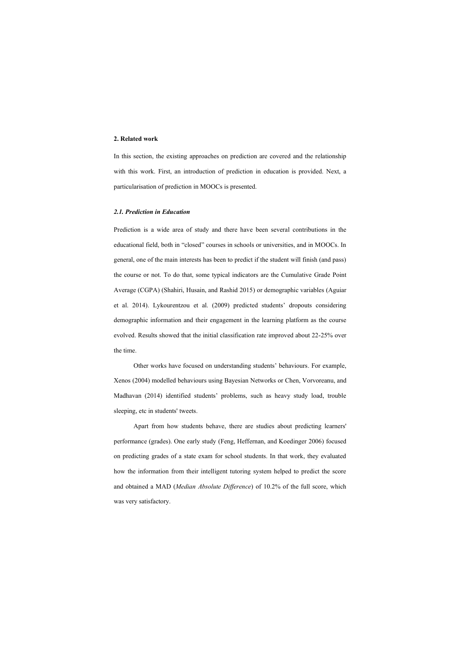### **2. Related work**

In this section, the existing approaches on prediction are covered and the relationship with this work. First, an introduction of prediction in education is provided. Next, a particularisation of prediction in MOOCs is presented.

### *2.1. Prediction in Education*

Prediction is a wide area of study and there have been several contributions in the educational field, both in "closed" courses in schools or universities, and in MOOCs. In general, one of the main interests has been to predict if the student will finish (and pass) the course or not. To do that, some typical indicators are the Cumulative Grade Point Average (CGPA) (Shahiri, Husain, and Rashid 2015) or demographic variables (Aguiar et al. 2014). Lykourentzou et al. (2009) predicted students' dropouts considering demographic information and their engagement in the learning platform as the course evolved. Results showed that the initial classification rate improved about 22-25% over the time.

Other works have focused on understanding students' behaviours. For example, Xenos (2004) modelled behaviours using Bayesian Networks or Chen, Vorvoreanu, and Madhavan (2014) identified students' problems, such as heavy study load, trouble sleeping, etc in students' tweets.

Apart from how students behave, there are studies about predicting learners' performance (grades). One early study (Feng, Heffernan, and Koedinger 2006) focused on predicting grades of a state exam for school students. In that work, they evaluated how the information from their intelligent tutoring system helped to predict the score and obtained a MAD (*Median Absolute Difference*) of 10.2% of the full score, which was very satisfactory.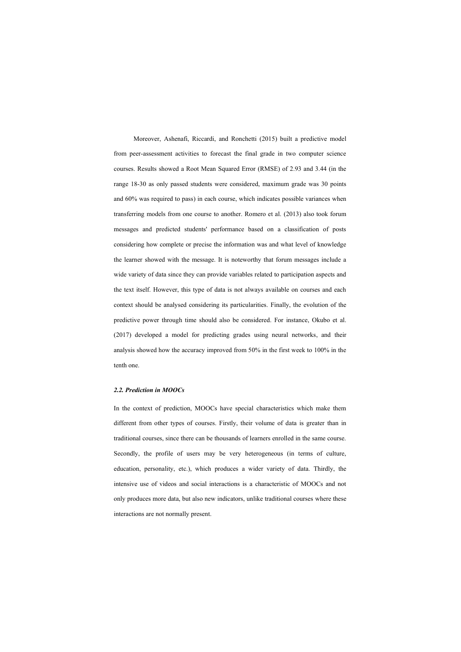Moreover, Ashenafi, Riccardi, and Ronchetti (2015) built a predictive model from peer-assessment activities to forecast the final grade in two computer science courses. Results showed a Root Mean Squared Error (RMSE) of 2.93 and 3.44 (in the range 18-30 as only passed students were considered, maximum grade was 30 points and 60% was required to pass) in each course, which indicates possible variances when transferring models from one course to another. Romero et al. (2013) also took forum messages and predicted students' performance based on a classification of posts considering how complete or precise the information was and what level of knowledge the learner showed with the message. It is noteworthy that forum messages include a wide variety of data since they can provide variables related to participation aspects and the text itself. However, this type of data is not always available on courses and each context should be analysed considering its particularities. Finally, the evolution of the predictive power through time should also be considered. For instance, Okubo et al. (2017) developed a model for predicting grades using neural networks, and their analysis showed how the accuracy improved from 50% in the first week to 100% in the tenth one.

### *2.2. Prediction in MOOCs*

In the context of prediction, MOOCs have special characteristics which make them different from other types of courses. Firstly, their volume of data is greater than in traditional courses, since there can be thousands of learners enrolled in the same course. Secondly, the profile of users may be very heterogeneous (in terms of culture, education, personality, etc.), which produces a wider variety of data. Thirdly, the intensive use of videos and social interactions is a characteristic of MOOCs and not only produces more data, but also new indicators, unlike traditional courses where these interactions are not normally present.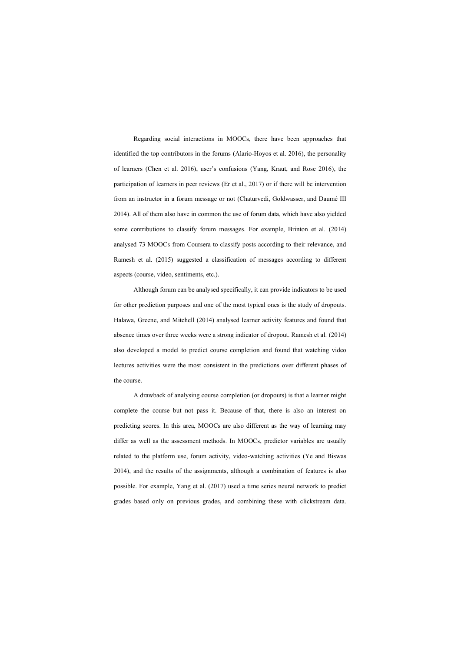Regarding social interactions in MOOCs, there have been approaches that identified the top contributors in the forums (Alario-Hoyos et al. 2016), the personality of learners (Chen et al. 2016), user's confusions (Yang, Kraut, and Rose 2016), the participation of learners in peer reviews (Er et al., 2017) or if there will be intervention from an instructor in a forum message or not (Chaturvedi, Goldwasser, and Daumé III 2014). All of them also have in common the use of forum data, which have also yielded some contributions to classify forum messages. For example, Brinton et al. (2014) analysed 73 MOOCs from Coursera to classify posts according to their relevance, and Ramesh et al. (2015) suggested a classification of messages according to different aspects (course, video, sentiments, etc.).

Although forum can be analysed specifically, it can provide indicators to be used for other prediction purposes and one of the most typical ones is the study of dropouts. Halawa, Greene, and Mitchell (2014) analysed learner activity features and found that absence times over three weeks were a strong indicator of dropout. Ramesh et al. (2014) also developed a model to predict course completion and found that watching video lectures activities were the most consistent in the predictions over different phases of the course.

A drawback of analysing course completion (or dropouts) is that a learner might complete the course but not pass it. Because of that, there is also an interest on predicting scores. In this area, MOOCs are also different as the way of learning may differ as well as the assessment methods. In MOOCs, predictor variables are usually related to the platform use, forum activity, video-watching activities (Ye and Biswas 2014), and the results of the assignments, although a combination of features is also possible. For example, Yang et al. (2017) used a time series neural network to predict grades based only on previous grades, and combining these with clickstream data.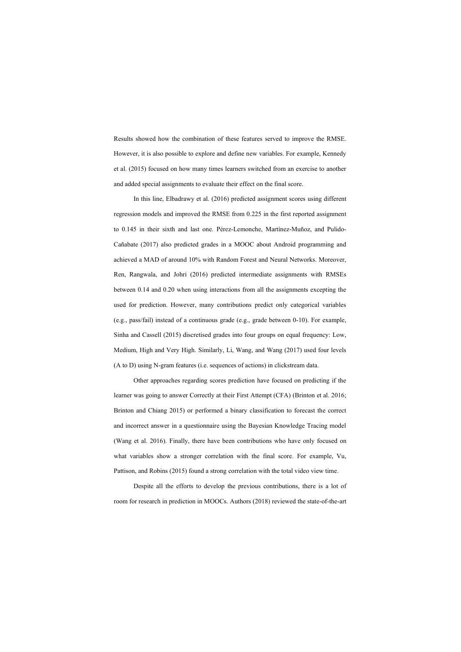Results showed how the combination of these features served to improve the RMSE. However, it is also possible to explore and define new variables. For example, Kennedy et al. (2015) focused on how many times learners switched from an exercise to another and added special assignments to evaluate their effect on the final score.

In this line, Elbadrawy et al. (2016) predicted assignment scores using different regression models and improved the RMSE from 0.225 in the first reported assignment to 0.145 in their sixth and last one. Pérez-Lemonche, Martínez-Muñoz, and Pulido-Cañabate (2017) also predicted grades in a MOOC about Android programming and achieved a MAD of around 10% with Random Forest and Neural Networks. Moreover, Ren, Rangwala, and Johri (2016) predicted intermediate assignments with RMSEs between 0.14 and 0.20 when using interactions from all the assignments excepting the used for prediction. However, many contributions predict only categorical variables (e.g., pass/fail) instead of a continuous grade (e.g., grade between 0-10). For example, Sinha and Cassell (2015) discretised grades into four groups on equal frequency: Low, Medium, High and Very High. Similarly, Li, Wang, and Wang (2017) used four levels (A to D) using N-gram features (i.e. sequences of actions) in clickstream data.

Other approaches regarding scores prediction have focused on predicting if the learner was going to answer Correctly at their First Attempt (CFA) (Brinton et al. 2016; Brinton and Chiang 2015) or performed a binary classification to forecast the correct and incorrect answer in a questionnaire using the Bayesian Knowledge Tracing model (Wang et al. 2016). Finally, there have been contributions who have only focused on what variables show a stronger correlation with the final score. For example, Vu, Pattison, and Robins (2015) found a strong correlation with the total video view time.

Despite all the efforts to develop the previous contributions, there is a lot of room for research in prediction in MOOCs. Authors (2018) reviewed the state-of-the-art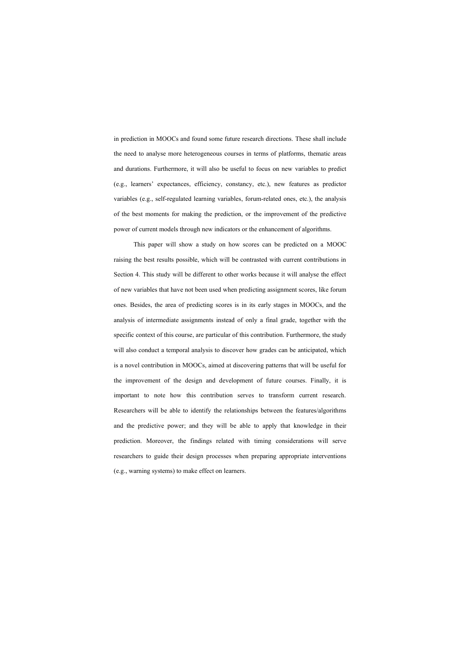in prediction in MOOCs and found some future research directions. These shall include the need to analyse more heterogeneous courses in terms of platforms, thematic areas and durations. Furthermore, it will also be useful to focus on new variables to predict (e.g., learners' expectances, efficiency, constancy, etc.), new features as predictor variables (e.g., self-regulated learning variables, forum-related ones, etc.), the analysis of the best moments for making the prediction, or the improvement of the predictive power of current models through new indicators or the enhancement of algorithms.

This paper will show a study on how scores can be predicted on a MOOC raising the best results possible, which will be contrasted with current contributions in Section 4. This study will be different to other works because it will analyse the effect of new variables that have not been used when predicting assignment scores, like forum ones. Besides, the area of predicting scores is in its early stages in MOOCs, and the analysis of intermediate assignments instead of only a final grade, together with the specific context of this course, are particular of this contribution. Furthermore, the study will also conduct a temporal analysis to discover how grades can be anticipated, which is a novel contribution in MOOCs, aimed at discovering patterns that will be useful for the improvement of the design and development of future courses. Finally, it is important to note how this contribution serves to transform current research. Researchers will be able to identify the relationships between the features/algorithms and the predictive power; and they will be able to apply that knowledge in their prediction. Moreover, the findings related with timing considerations will serve researchers to guide their design processes when preparing appropriate interventions (e.g., warning systems) to make effect on learners.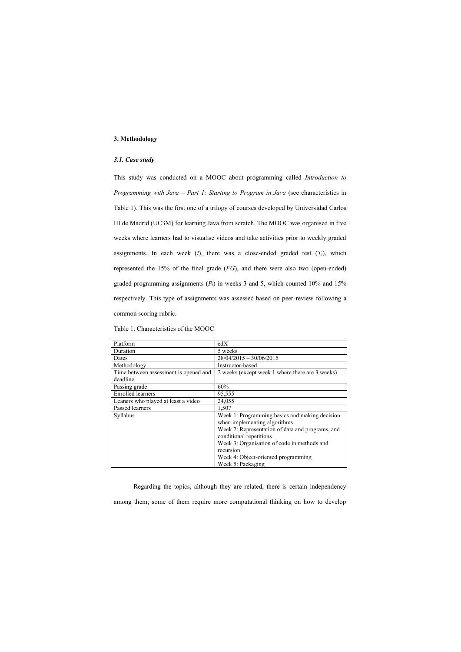### **3. Methodology**

### *3.1. Case study*

This study was conducted on a MOOC about programming called *Introduction to Programming with Java – Part 1: Starting to Program in Java* (see characteristics in Table 1)*.* This was the first one of a trilogy of courses developed by Universidad Carlos III de Madrid (UC3M) for learning Java from scratch. The MOOC was organised in five weeks where learners had to visualise videos and take activities prior to weekly graded assignments. In each week  $(i)$ , there was a close-ended graded test  $(T_i)$ , which represented the 15% of the final grade (*FG*), and there were also two (open-ended) graded programming assignments  $(P_i)$  in weeks 3 and 5, which counted 10% and 15% respectively. This type of assignments was assessed based on peer-review following a common scoring rubric.

| Platform                              | edX                                              |
|---------------------------------------|--------------------------------------------------|
| Duration                              | 5 weeks                                          |
| Dates                                 | $28/04/2015 - 30/06/2015$                        |
| Methodology                           | Instructor-based                                 |
| Time between assessment is opened and | 2 weeks (except week 1 where there are 3 weeks)  |
| deadline                              |                                                  |
| Passing grade                         | 60%                                              |
| <b>Enrolled</b> learners              | 95,555                                           |
| Leaners who played at least a video   | 24,055                                           |
| Passed learners                       | 1,507                                            |
| Syllabus                              | Week 1: Programming basics and making decision   |
|                                       | when implementing algorithms                     |
|                                       | Week 2: Representation of data and programs, and |
|                                       | conditional repetitions                          |
|                                       | Week 3: Organisation of code in methods and      |
|                                       | recursion                                        |
|                                       | Week 4: Object-oriented programming              |
|                                       | Week 5: Packaging                                |

Table 1. Characteristics of the MOOC

Regarding the topics, although they are related, there is certain independency among them; some of them require more computational thinking on how to develop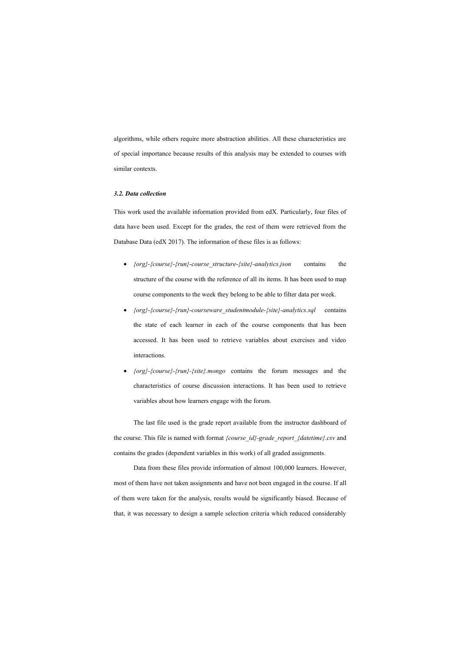algorithms, while others require more abstraction abilities. All these characteristics are of special importance because results of this analysis may be extended to courses with similar contexts.

# *3.2. Data collection*

This work used the available information provided from edX. Particularly, four files of data have been used. Except for the grades, the rest of them were retrieved from the Database Data (edX 2017). The information of these files is as follows:

- *{org}-{course}-{run}-course structure-{site}-analytics.json* contains the structure of the course with the reference of all its items. It has been used to map course components to the week they belong to be able to filter data per week.
- *{org}-{course}-{run}-courseware\_studentmodule-{site}-analytics.sql* contains the state of each learner in each of the course components that has been accessed. It has been used to retrieve variables about exercises and video interactions.
- *{org}-{course}-{run}-{site}.mongo* contains the forum messages and the characteristics of course discussion interactions. It has been used to retrieve variables about how learners engage with the forum.

The last file used is the grade report available from the instructor dashboard of the course. This file is named with format *{course\_id}-grade\_report\_{datetime}.csv* and contains the grades (dependent variables in this work) of all graded assignments.

Data from these files provide information of almost 100,000 learners. However, most of them have not taken assignments and have not been engaged in the course. If all of them were taken for the analysis, results would be significantly biased. Because of that, it was necessary to design a sample selection criteria which reduced considerably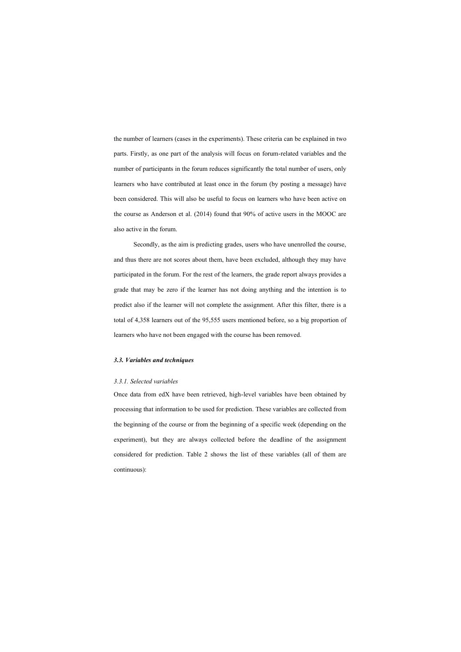the number of learners (cases in the experiments). These criteria can be explained in two parts. Firstly, as one part of the analysis will focus on forum-related variables and the number of participants in the forum reduces significantly the total number of users, only learners who have contributed at least once in the forum (by posting a message) have been considered. This will also be useful to focus on learners who have been active on the course as Anderson et al. (2014) found that 90% of active users in the MOOC are also active in the forum.

Secondly, as the aim is predicting grades, users who have unenrolled the course, and thus there are not scores about them, have been excluded, although they may have participated in the forum. For the rest of the learners, the grade report always provides a grade that may be zero if the learner has not doing anything and the intention is to predict also if the learner will not complete the assignment. After this filter, there is a total of 4,358 learners out of the 95,555 users mentioned before, so a big proportion of learners who have not been engaged with the course has been removed.

### *3.3. Variables and techniques*

### *3.3.1. Selected variables*

Once data from edX have been retrieved, high-level variables have been obtained by processing that information to be used for prediction. These variables are collected from the beginning of the course or from the beginning of a specific week (depending on the experiment), but they are always collected before the deadline of the assignment considered for prediction. Table 2 shows the list of these variables (all of them are continuous):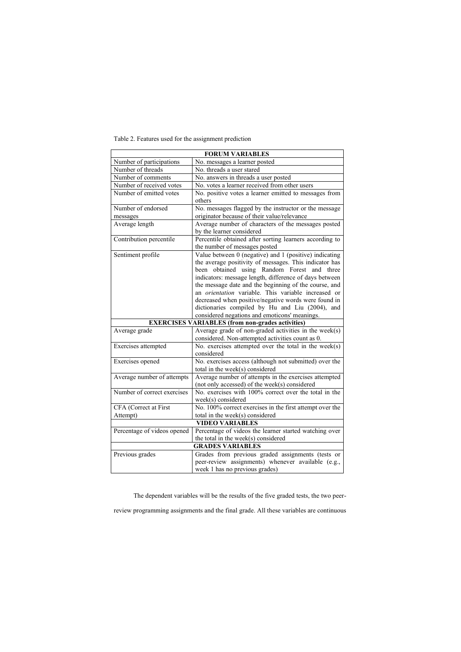| <b>FORUM VARIABLES</b>      |                                                                                                          |  |  |  |  |  |
|-----------------------------|----------------------------------------------------------------------------------------------------------|--|--|--|--|--|
| Number of participations    | No. messages a learner posted                                                                            |  |  |  |  |  |
| Number of threads           | No. threads a user stared                                                                                |  |  |  |  |  |
| Number of comments          | No. answers in threads a user posted                                                                     |  |  |  |  |  |
| Number of received votes    | No. votes a learner received from other users                                                            |  |  |  |  |  |
| Number of emitted votes     | No. positive votes a learner emitted to messages from                                                    |  |  |  |  |  |
|                             | others                                                                                                   |  |  |  |  |  |
| Number of endorsed          | No. messages flagged by the instructor or the message                                                    |  |  |  |  |  |
| messages                    | originator because of their value/relevance                                                              |  |  |  |  |  |
| Average length              | Average number of characters of the messages posted                                                      |  |  |  |  |  |
|                             | by the learner considered                                                                                |  |  |  |  |  |
| Contribution percentile     | Percentile obtained after sorting learners according to                                                  |  |  |  |  |  |
|                             | the number of messages posted                                                                            |  |  |  |  |  |
| Sentiment profile           | Value between 0 (negative) and 1 (positive) indicating                                                   |  |  |  |  |  |
|                             | the average positivity of messages. This indicator has                                                   |  |  |  |  |  |
|                             | been obtained using Random Forest and three                                                              |  |  |  |  |  |
|                             | indicators: message length, difference of days between                                                   |  |  |  |  |  |
|                             | the message date and the beginning of the course, and                                                    |  |  |  |  |  |
|                             | an <i>orientation</i> variable. This variable increased or                                               |  |  |  |  |  |
|                             | decreased when positive/negative words were found in                                                     |  |  |  |  |  |
|                             | dictionaries compiled by Hu and Liu (2004), and                                                          |  |  |  |  |  |
|                             | considered negations and emoticons' meanings.<br><b>EXERCISES VARIABLES (from non-grades activities)</b> |  |  |  |  |  |
| Average grade               | Average grade of non-graded activities in the week $(s)$                                                 |  |  |  |  |  |
|                             | considered. Non-attempted activities count as 0.                                                         |  |  |  |  |  |
| Exercises attempted         | No. exercises attempted over the total in the week $(s)$                                                 |  |  |  |  |  |
|                             | considered                                                                                               |  |  |  |  |  |
| Exercises opened            | No. exercises access (although not submitted) over the                                                   |  |  |  |  |  |
|                             | total in the week(s) considered                                                                          |  |  |  |  |  |
| Average number of attempts  | Average number of attempts in the exercises attempted                                                    |  |  |  |  |  |
|                             | (not only accessed) of the week(s) considered                                                            |  |  |  |  |  |
| Number of correct exercises | No. exercises with 100% correct over the total in the                                                    |  |  |  |  |  |
|                             | $week(s)$ considered                                                                                     |  |  |  |  |  |
| CFA (Correct at First       | No. 100% correct exercises in the first attempt over the                                                 |  |  |  |  |  |
| Attempt)                    | total in the week(s) considered                                                                          |  |  |  |  |  |
| <b>VIDEO VARIABLES</b>      |                                                                                                          |  |  |  |  |  |
| Percentage of videos opened | Percentage of videos the learner started watching over                                                   |  |  |  |  |  |
|                             | the total in the week(s) considered                                                                      |  |  |  |  |  |
|                             | <b>GRADES VARIABLES</b>                                                                                  |  |  |  |  |  |
| Previous grades             | Grades from previous graded assignments (tests or                                                        |  |  |  |  |  |
|                             | peer-review assignments) whenever available (e.g.,                                                       |  |  |  |  |  |
|                             | week 1 has no previous grades)                                                                           |  |  |  |  |  |

Table 2. Features used for the assignment prediction

The dependent variables will be the results of the five graded tests, the two peer-

review programming assignments and the final grade. All these variables are continuous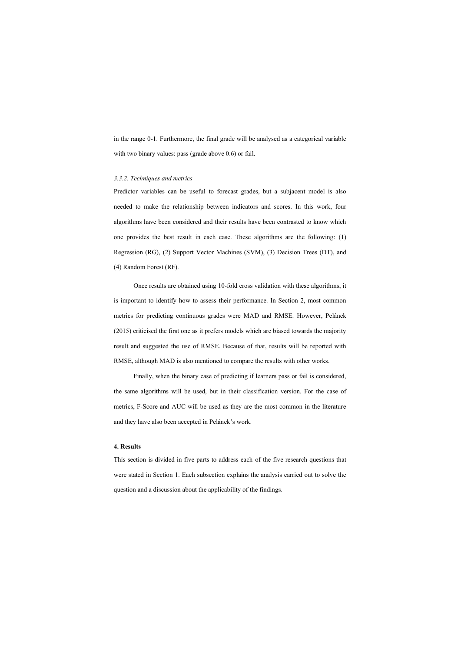in the range 0-1. Furthermore, the final grade will be analysed as a categorical variable with two binary values: pass (grade above 0.6) or fail.

#### *3.3.2. Techniques and metrics*

Predictor variables can be useful to forecast grades, but a subjacent model is also needed to make the relationship between indicators and scores. In this work, four algorithms have been considered and their results have been contrasted to know which one provides the best result in each case. These algorithms are the following: (1) Regression (RG), (2) Support Vector Machines (SVM), (3) Decision Trees (DT), and (4) Random Forest (RF).

Once results are obtained using 10-fold cross validation with these algorithms, it is important to identify how to assess their performance. In Section 2, most common metrics for predicting continuous grades were MAD and RMSE. However, Pelánek (2015) criticised the first one as it prefers models which are biased towards the majority result and suggested the use of RMSE. Because of that, results will be reported with RMSE, although MAD is also mentioned to compare the results with other works.

Finally, when the binary case of predicting if learners pass or fail is considered, the same algorithms will be used, but in their classification version. For the case of metrics, F-Score and AUC will be used as they are the most common in the literature and they have also been accepted in Pelánek's work.

### **4. Results**

This section is divided in five parts to address each of the five research questions that were stated in Section 1. Each subsection explains the analysis carried out to solve the question and a discussion about the applicability of the findings.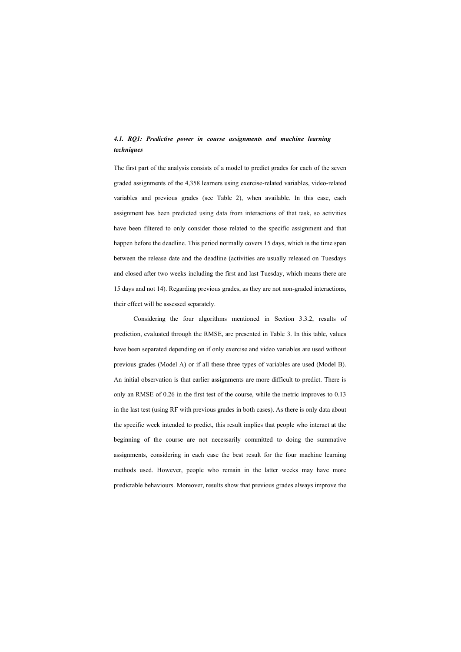# *4.1. RQ1: Predictive power in course assignments and machine learning techniques*

The first part of the analysis consists of a model to predict grades for each of the seven graded assignments of the 4,358 learners using exercise-related variables, video-related variables and previous grades (see Table 2), when available. In this case, each assignment has been predicted using data from interactions of that task, so activities have been filtered to only consider those related to the specific assignment and that happen before the deadline. This period normally covers 15 days, which is the time span between the release date and the deadline (activities are usually released on Tuesdays and closed after two weeks including the first and last Tuesday, which means there are 15 days and not 14). Regarding previous grades, as they are not non-graded interactions, their effect will be assessed separately.

Considering the four algorithms mentioned in Section 3.3.2, results of prediction, evaluated through the RMSE, are presented in Table 3. In this table, values have been separated depending on if only exercise and video variables are used without previous grades (Model A) or if all these three types of variables are used (Model B). An initial observation is that earlier assignments are more difficult to predict. There is only an RMSE of 0.26 in the first test of the course, while the metric improves to 0.13 in the last test (using RF with previous grades in both cases). As there is only data about the specific week intended to predict, this result implies that people who interact at the beginning of the course are not necessarily committed to doing the summative assignments, considering in each case the best result for the four machine learning methods used. However, people who remain in the latter weeks may have more predictable behaviours. Moreover, results show that previous grades always improve the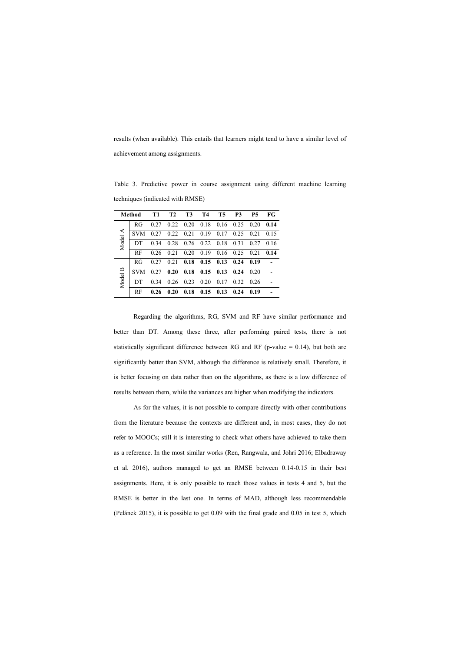results (when available). This entails that learners might tend to have a similar level of achievement among assignments.

Table 3. Predictive power in course assignment using different machine learning techniques (indicated with RMSE)

|         | Method     | T1   | <b>T2</b>       | T3   | T4   | <b>T5</b> | P <sub>3</sub> | <b>P5</b> | FG   |
|---------|------------|------|-----------------|------|------|-----------|----------------|-----------|------|
| Model A | <b>RG</b>  | 0.27 | 0.22            | 0.20 | 0.18 | 0.16      | 0.25           | 020       | 0.14 |
|         | <b>SVM</b> | 0.27 | 0.22            | 0.21 | 0.19 | 0.17      | 0.25           | 0.21      | 0.15 |
|         | DT         | 0.34 | 0.28            | 0.26 | 0.22 | 0.18      | 0.31           | 0.27      | 0.16 |
|         | RF         | 0.26 | .21<br>$\Omega$ | 0.20 | 0.19 | 0.16      | 0.25           | 0.21      | 0.14 |
| Model B | <b>RG</b>  | 0.27 | 0.21            | 0.18 | 0.15 | 0.13      | 0.24           | 0.19      |      |
|         | <b>SVM</b> | 0.27 | 0.20            | 0.18 | 0.15 | 0.13      | 0.24           | 020       |      |
|         | DT         | 0.34 | 0.26            | 0.23 | 0.20 | 0.17      | 0.32           | 0.26      |      |
|         | <b>RF</b>  | 0.26 | 0.20            | 0.18 | 0.15 | 0.13      | 0.24           | 0.19      |      |

Regarding the algorithms, RG, SVM and RF have similar performance and better than DT. Among these three, after performing paired tests, there is not statistically significant difference between RG and RF (p-value  $= 0.14$ ), but both are significantly better than SVM, although the difference is relatively small. Therefore, it is better focusing on data rather than on the algorithms, as there is a low difference of results between them, while the variances are higher when modifying the indicators.

As for the values, it is not possible to compare directly with other contributions from the literature because the contexts are different and, in most cases, they do not refer to MOOCs; still it is interesting to check what others have achieved to take them as a reference. In the most similar works (Ren, Rangwala, and Johri 2016; Elbadraway et al. 2016), authors managed to get an RMSE between 0.14-0.15 in their best assignments. Here, it is only possible to reach those values in tests 4 and 5, but the RMSE is better in the last one. In terms of MAD, although less recommendable (Pelánek 2015), it is possible to get 0.09 with the final grade and 0.05 in test 5, which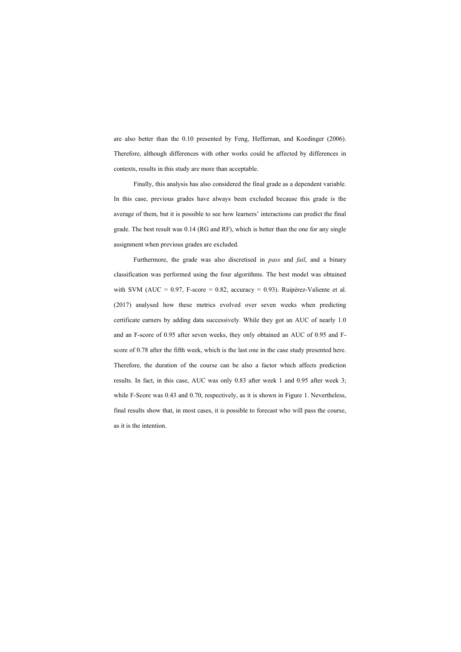are also better than the 0.10 presented by Feng, Heffernan, and Koedinger (2006). Therefore, although differences with other works could be affected by differences in contexts, results in this study are more than acceptable.

Finally, this analysis has also considered the final grade as a dependent variable. In this case, previous grades have always been excluded because this grade is the average of them, but it is possible to see how learners' interactions can predict the final grade. The best result was 0.14 (RG and RF), which is better than the one for any single assignment when previous grades are excluded.

Furthermore, the grade was also discretised in *pass* and *fail*, and a binary classification was performed using the four algorithms. The best model was obtained with SVM (AUC =  $0.97$ , F-score = 0.82, accuracy = 0.93). Ruipérez-Valiente et al. (2017) analysed how these metrics evolved over seven weeks when predicting certificate earners by adding data successively. While they got an AUC of nearly 1.0 and an F-score of 0.95 after seven weeks, they only obtained an AUC of 0.95 and Fscore of 0.78 after the fifth week, which is the last one in the case study presented here. Therefore, the duration of the course can be also a factor which affects prediction results. In fact, in this case, AUC was only 0.83 after week 1 and 0.95 after week 3; while F-Score was 0.43 and 0.70, respectively, as it is shown in Figure 1. Nevertheless, final results show that, in most cases, it is possible to forecast who will pass the course, as it is the intention.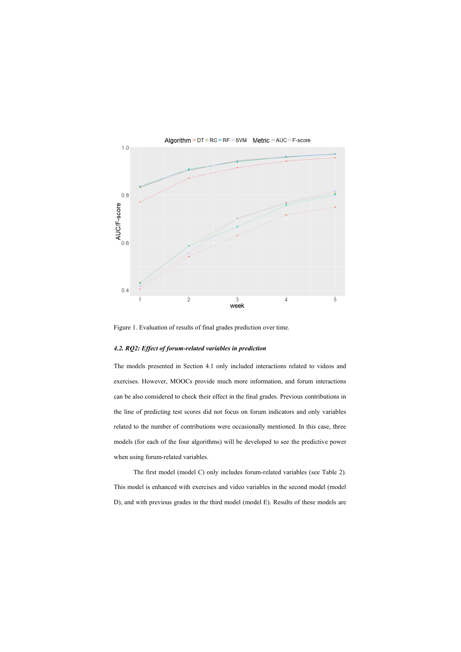

Figure 1. Evaluation of results of final grades prediction over time.

# *4.2. RQ2: Effect of forum-related variables in prediction*

The models presented in Section 4.1 only included interactions related to videos and exercises. However, MOOCs provide much more information, and forum interactions can be also considered to check their effect in the final grades. Previous contributions in the line of predicting test scores did not focus on forum indicators and only variables related to the number of contributions were occasionally mentioned. In this case, three models (for each of the four algorithms) will be developed to see the predictive power when using forum-related variables.

The first model (model C) only includes forum-related variables (see Table 2). This model is enhanced with exercises and video variables in the second model (model D), and with previous grades in the third model (model E). Results of these models are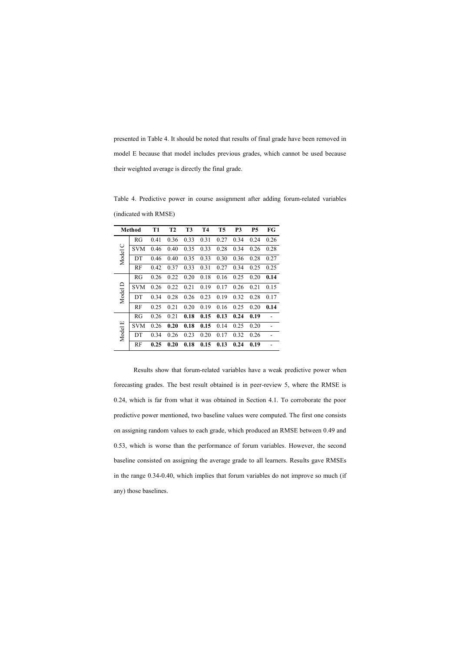presented in Table 4. It should be noted that results of final grade have been removed in model E because that model includes previous grades, which cannot be used because their weighted average is directly the final grade.

Table 4. Predictive power in course assignment after adding forum-related variables (indicated with RMSE)

|         | <b>Method</b> | T <sub>1</sub> | T <sub>2</sub> | T <sub>3</sub> | T <sub>4</sub> | T <sub>5</sub> | P <sub>3</sub> | P <sub>5</sub> | FG   |
|---------|---------------|----------------|----------------|----------------|----------------|----------------|----------------|----------------|------|
|         | RG            | 0.41           | 0.36           | 0.33           | 0.31           | 0.27           | 0.34           | 0.24           | 0.26 |
| Model C | SVM           | 0.46           | 0.40           | 0.35           | 0.33           | 0.28           | 0.34           | 0.26           | 0.28 |
|         | DT            | 0.46           | 0.40           | 0.35           | 0.33           | 0.30           | 0.36           | 0.28           | 0.27 |
|         | RF            | 0.42           | 0.37           | 0.33           | 0.31           | 0.27           | 0.34           | 0.25           | 0.25 |
| Model D | RG            | 0.26           | 0.22           | 0.20           | 0.18           | 0.16           | 0.25           | 0.20           | 0.14 |
|         | SVM           | 0.26           | 0.22           | 0.21           | 0.19           | 0.17           | 0.26           | 0.21           | 0.15 |
|         | DT            | 0.34           | 0.28           | 0.26           | 0.23           | 0.19           | 0.32           | 0.28           | 0.17 |
|         | RF            | 0.25           | 0.21           | 0.20           | 0.19           | 0.16           | 0.25           | 0.20           | 0.14 |
|         | RG            | 0.26           | 0.21           | 0.18           | 0.15           | 0.13           | 0.24           | 0.19           |      |
| Model E | SVM           | 0.26           | 0.20           | 0.18           | 0.15           | 0.14           | 0.25           | 0.20           |      |
|         | DT            | 0.34           | 0.26           | 0.23           | 0.20           | 0.17           | 0.32           | 0.26           |      |
|         | RF            | 0.25           | 0.20           | 0.18           | 0.15           | 0.13           | 0.24           | 0.19           |      |

Results show that forum-related variables have a weak predictive power when forecasting grades. The best result obtained is in peer-review 5, where the RMSE is 0.24, which is far from what it was obtained in Section 4.1. To corroborate the poor predictive power mentioned, two baseline values were computed. The first one consists on assigning random values to each grade, which produced an RMSE between 0.49 and 0.53, which is worse than the performance of forum variables. However, the second baseline consisted on assigning the average grade to all learners. Results gave RMSEs in the range 0.34-0.40, which implies that forum variables do not improve so much (if any) those baselines.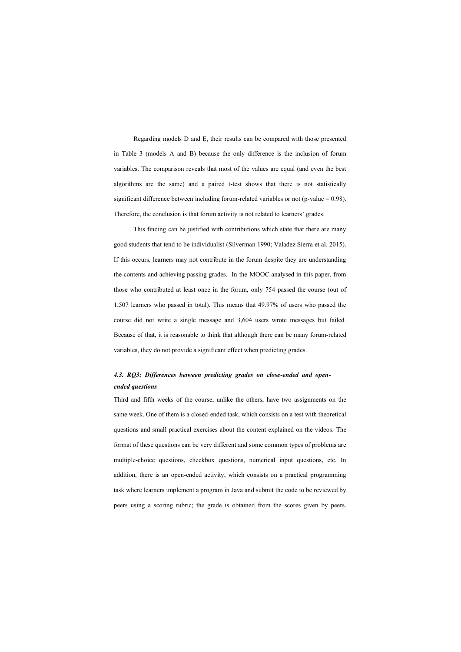Regarding models D and E, their results can be compared with those presented in Table 3 (models A and B) because the only difference is the inclusion of forum variables. The comparison reveals that most of the values are equal (and even the best algorithms are the same) and a paired t-test shows that there is not statistically significant difference between including forum-related variables or not (p-value  $= 0.98$ ). Therefore, the conclusion is that forum activity is not related to learners' grades.

This finding can be justified with contributions which state that there are many good students that tend to be individualist (Silverman 1990; Valadez Sierra et al. 2015). If this occurs, learners may not contribute in the forum despite they are understanding the contents and achieving passing grades. In the MOOC analysed in this paper, from those who contributed at least once in the forum, only 754 passed the course (out of 1,507 learners who passed in total). This means that 49.97% of users who passed the course did not write a single message and 3,604 users wrote messages but failed. Because of that, it is reasonable to think that although there can be many forum-related variables, they do not provide a significant effect when predicting grades.

# *4.3. RQ3: Differences between predicting grades on close-ended and openended questions*

Third and fifth weeks of the course, unlike the others, have two assignments on the same week. One of them is a closed-ended task, which consists on a test with theoretical questions and small practical exercises about the content explained on the videos. The format of these questions can be very different and some common types of problems are multiple-choice questions, checkbox questions, numerical input questions, etc. In addition, there is an open-ended activity, which consists on a practical programming task where learners implement a program in Java and submit the code to be reviewed by peers using a scoring rubric; the grade is obtained from the scores given by peers.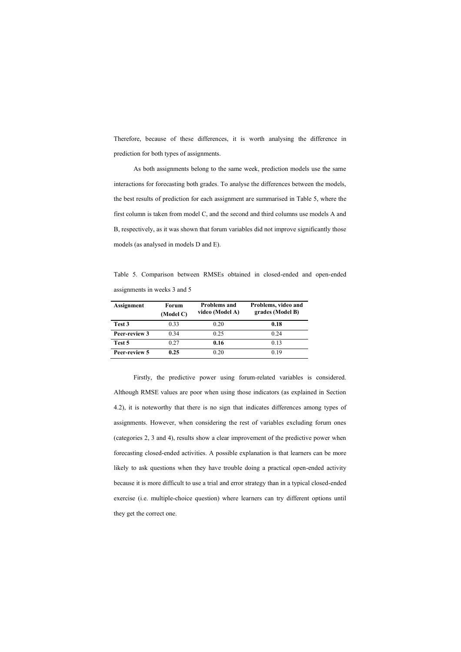Therefore, because of these differences, it is worth analysing the difference in prediction for both types of assignments.

As both assignments belong to the same week, prediction models use the same interactions for forecasting both grades. To analyse the differences between the models, the best results of prediction for each assignment are summarised in Table 5, where the first column is taken from model C, and the second and third columns use models A and B, respectively, as it was shown that forum variables did not improve significantly those models (as analysed in models D and E).

Table 5. Comparison between RMSEs obtained in closed-ended and open-ended assignments in weeks 3 and 5

| <b>Assignment</b> | Forum<br>(Model C) | <b>Problems and</b><br>video (Model A) | Problems, video and<br>grades (Model B) |  |  |  |
|-------------------|--------------------|----------------------------------------|-----------------------------------------|--|--|--|
| Test 3            | 0.33               | 0.20                                   | 0.18                                    |  |  |  |
| Peer-review 3     | 0.34               | 0.25                                   | 0.24                                    |  |  |  |
| Test 5            | 0.27               | 0.16                                   | 0.13                                    |  |  |  |
| Peer-review 5     | 0.25               | 0.20                                   | 0.19                                    |  |  |  |

Firstly, the predictive power using forum-related variables is considered. Although RMSE values are poor when using those indicators (as explained in Section 4.2), it is noteworthy that there is no sign that indicates differences among types of assignments. However, when considering the rest of variables excluding forum ones (categories 2, 3 and 4), results show a clear improvement of the predictive power when forecasting closed-ended activities. A possible explanation is that learners can be more likely to ask questions when they have trouble doing a practical open-ended activity because it is more difficult to use a trial and error strategy than in a typical closed-ended exercise (i.e. multiple-choice question) where learners can try different options until they get the correct one.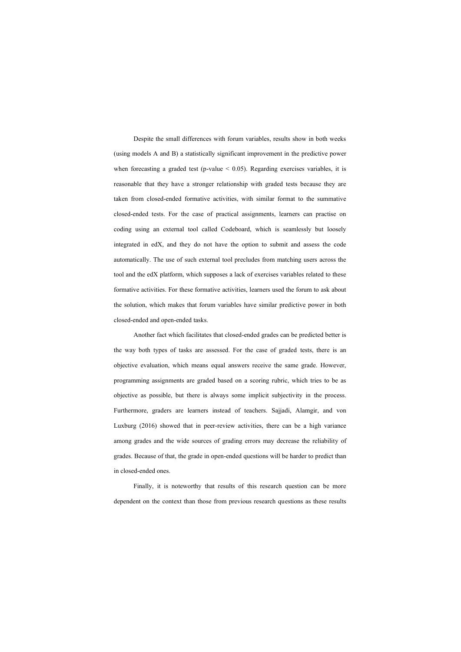Despite the small differences with forum variables, results show in both weeks (using models A and B) a statistically significant improvement in the predictive power when forecasting a graded test (p-value  $\leq$  0.05). Regarding exercises variables, it is reasonable that they have a stronger relationship with graded tests because they are taken from closed-ended formative activities, with similar format to the summative closed-ended tests. For the case of practical assignments, learners can practise on coding using an external tool called Codeboard, which is seamlessly but loosely integrated in edX, and they do not have the option to submit and assess the code automatically. The use of such external tool precludes from matching users across the tool and the edX platform, which supposes a lack of exercises variables related to these formative activities. For these formative activities, learners used the forum to ask about the solution, which makes that forum variables have similar predictive power in both closed-ended and open-ended tasks.

Another fact which facilitates that closed-ended grades can be predicted better is the way both types of tasks are assessed. For the case of graded tests, there is an objective evaluation, which means equal answers receive the same grade. However, programming assignments are graded based on a scoring rubric, which tries to be as objective as possible, but there is always some implicit subjectivity in the process. Furthermore, graders are learners instead of teachers. Sajjadi, Alamgir, and von Luxburg (2016) showed that in peer-review activities, there can be a high variance among grades and the wide sources of grading errors may decrease the reliability of grades. Because of that, the grade in open-ended questions will be harder to predict than in closed-ended ones.

Finally, it is noteworthy that results of this research question can be more dependent on the context than those from previous research questions as these results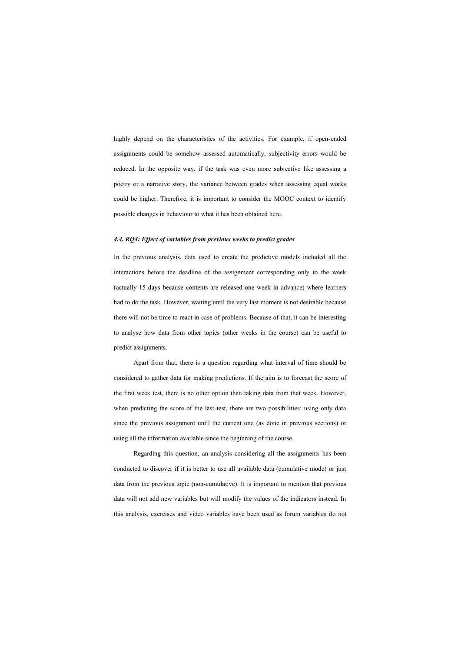highly depend on the characteristics of the activities. For example, if open-ended assignments could be somehow assessed automatically, subjectivity errors would be reduced. In the opposite way, if the task was even more subjective like assessing a poetry or a narrative story, the variance between grades when assessing equal works could be higher. Therefore, it is important to consider the MOOC context to identify possible changes in behaviour to what it has been obtained here.

### *4.4. RQ4: Effect of variables from previous weeks to predict grades*

In the previous analysis, data used to create the predictive models included all the interactions before the deadline of the assignment corresponding only to the week (actually 15 days because contents are released one week in advance) where learners had to do the task. However, waiting until the very last moment is not desirable because there will not be time to react in case of problems. Because of that, it can be interesting to analyse how data from other topics (other weeks in the course) can be useful to predict assignments.

Apart from that, there is a question regarding what interval of time should be considered to gather data for making predictions. If the aim is to forecast the score of the first week test, there is no other option than taking data from that week. However, when predicting the score of the last test, there are two possibilities: using only data since the previous assignment until the current one (as done in previous sections) or using all the information available since the beginning of the course.

Regarding this question, an analysis considering all the assignments has been conducted to discover if it is better to use all available data (cumulative mode) or just data from the previous topic (non-cumulative). It is important to mention that previous data will not add new variables but will modify the values of the indicators instead. In this analysis, exercises and video variables have been used as forum variables do not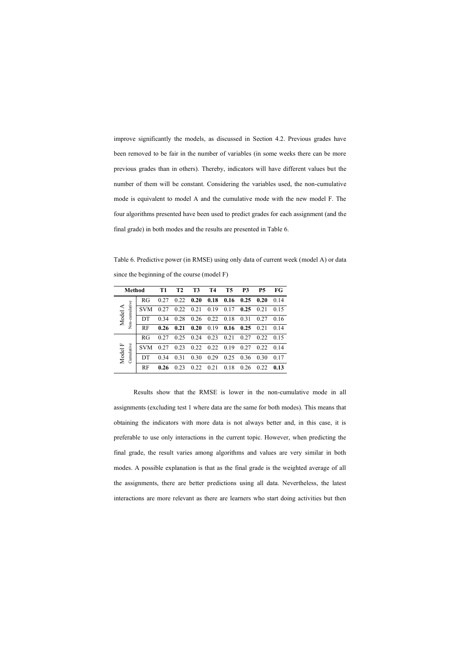improve significantly the models, as discussed in Section 4.2. Previous grades have been removed to be fair in the number of variables (in some weeks there can be more previous grades than in others). Thereby, indicators will have different values but the number of them will be constant. Considering the variables used, the non-cumulative mode is equivalent to model A and the cumulative mode with the new model F. The four algorithms presented have been used to predict grades for each assignment (and the final grade) in both modes and the results are presented in Table 6.

Table 6. Predictive power (in RMSE) using only data of current week (model A) or data since the beginning of the course (model F)

| <b>Method</b>             |            | T1             | T2              | <b>T3</b> | <b>T4</b> | T5                | P3   | <b>P5</b>         | FG   |
|---------------------------|------------|----------------|-----------------|-----------|-----------|-------------------|------|-------------------|------|
|                           | RG         | 0.27           | 0.22            | 0.20      | 0.18      | 0.16              | 0.25 | 0.20              | 0.14 |
|                           | <b>SVM</b> | 0.27           | 0.22            | 0.21      | 0.19      | 0.17              | 0.25 | 0.21              | 0.15 |
| Non-cumulative<br>Model A | DT         | 0.34           | .28<br>0        | 0.26      | 0.22      | 0.18              | 0.31 | 0.27              | 0.16 |
|                           | <b>RF</b>  | 0.26           | 0.21            | 0.20      | 0.19      | 0.16              | 0.25 | .21<br>$\theta$ . | 0.14 |
| Model F<br>Cumulative     | RG         | 27<br>$\Omega$ | .25<br>$\Omega$ | 0.24      | 0.23      | .21<br>$\theta$ . | 027  | .22<br>$\Omega$   | 0.15 |
|                           | <b>SVM</b> | 27<br>0        | .23<br>0        | 0.22      | 0.22      | 0.19              | 0.27 | 0.22              | 0.14 |
|                           | DT         | 0.34           | 31<br>$\theta$  | 0.30      | 0.29      | 0.25              | 0.36 | 0.30              | 0.17 |
|                           | <b>RF</b>  | 0.26           | 0.23            | 0.22      | 0.21      | 0.18              | 0.26 | 0.22              | 0.13 |

Results show that the RMSE is lower in the non-cumulative mode in all assignments (excluding test 1 where data are the same for both modes). This means that obtaining the indicators with more data is not always better and, in this case, it is preferable to use only interactions in the current topic. However, when predicting the final grade, the result varies among algorithms and values are very similar in both modes. A possible explanation is that as the final grade is the weighted average of all the assignments, there are better predictions using all data. Nevertheless, the latest interactions are more relevant as there are learners who start doing activities but then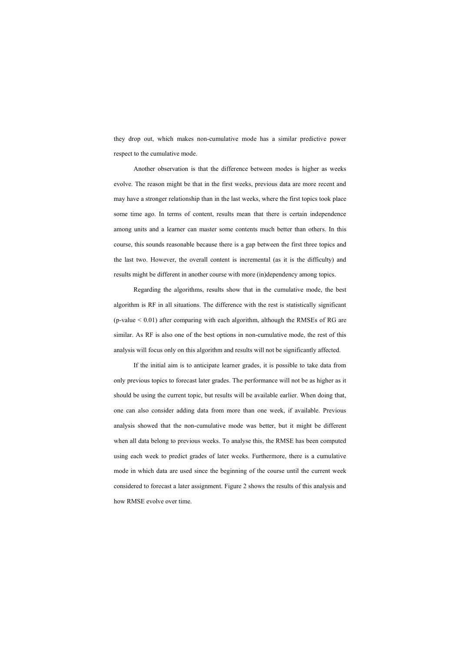they drop out, which makes non-cumulative mode has a similar predictive power respect to the cumulative mode.

Another observation is that the difference between modes is higher as weeks evolve. The reason might be that in the first weeks, previous data are more recent and may have a stronger relationship than in the last weeks, where the first topics took place some time ago. In terms of content, results mean that there is certain independence among units and a learner can master some contents much better than others. In this course, this sounds reasonable because there is a gap between the first three topics and the last two. However, the overall content is incremental (as it is the difficulty) and results might be different in another course with more (in)dependency among topics.

Regarding the algorithms, results show that in the cumulative mode, the best algorithm is RF in all situations. The difference with the rest is statistically significant  $(p-value < 0.01)$  after comparing with each algorithm, although the RMSEs of RG are similar. As RF is also one of the best options in non-cumulative mode, the rest of this analysis will focus only on this algorithm and results will not be significantly affected.

If the initial aim is to anticipate learner grades, it is possible to take data from only previous topics to forecast later grades. The performance will not be as higher as it should be using the current topic, but results will be available earlier. When doing that, one can also consider adding data from more than one week, if available. Previous analysis showed that the non-cumulative mode was better, but it might be different when all data belong to previous weeks. To analyse this, the RMSE has been computed using each week to predict grades of later weeks. Furthermore, there is a cumulative mode in which data are used since the beginning of the course until the current week considered to forecast a later assignment. Figure 2 shows the results of this analysis and how RMSE evolve over time.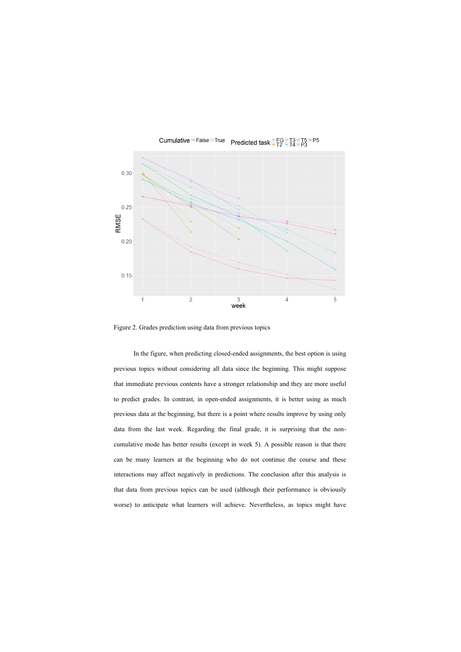

Figure 2. Grades prediction using data from previous topics

In the figure, when predicting closed-ended assignments, the best option is using previous topics without considering all data since the beginning. This might suppose that immediate previous contents have a stronger relationship and they are more useful to predict grades. In contrast, in open-ended assignments, it is better using as much previous data at the beginning, but there is a point where results improve by using only data from the last week. Regarding the final grade, it is surprising that the noncumulative mode has better results (except in week 5). A possible reason is that there can be many learners at the beginning who do not continue the course and these interactions may affect negatively in predictions. The conclusion after this analysis is that data from previous topics can be used (although their performance is obviously worse) to anticipate what learners will achieve. Nevertheless, as topics might have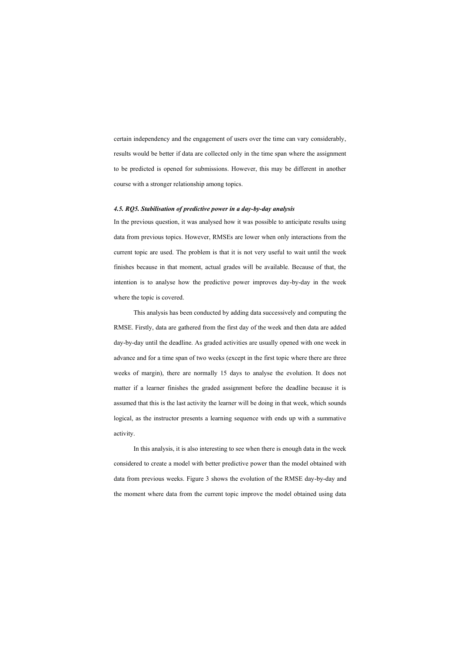certain independency and the engagement of users over the time can vary considerably, results would be better if data are collected only in the time span where the assignment to be predicted is opened for submissions. However, this may be different in another course with a stronger relationship among topics.

### *4.5. RQ5. Stabilisation of predictive power in a day-by-day analysis*

In the previous question, it was analysed how it was possible to anticipate results using data from previous topics. However, RMSEs are lower when only interactions from the current topic are used. The problem is that it is not very useful to wait until the week finishes because in that moment, actual grades will be available. Because of that, the intention is to analyse how the predictive power improves day-by-day in the week where the topic is covered.

This analysis has been conducted by adding data successively and computing the RMSE. Firstly, data are gathered from the first day of the week and then data are added day-by-day until the deadline. As graded activities are usually opened with one week in advance and for a time span of two weeks (except in the first topic where there are three weeks of margin), there are normally 15 days to analyse the evolution. It does not matter if a learner finishes the graded assignment before the deadline because it is assumed that this is the last activity the learner will be doing in that week, which sounds logical, as the instructor presents a learning sequence with ends up with a summative activity.

In this analysis, it is also interesting to see when there is enough data in the week considered to create a model with better predictive power than the model obtained with data from previous weeks. Figure 3 shows the evolution of the RMSE day-by-day and the moment where data from the current topic improve the model obtained using data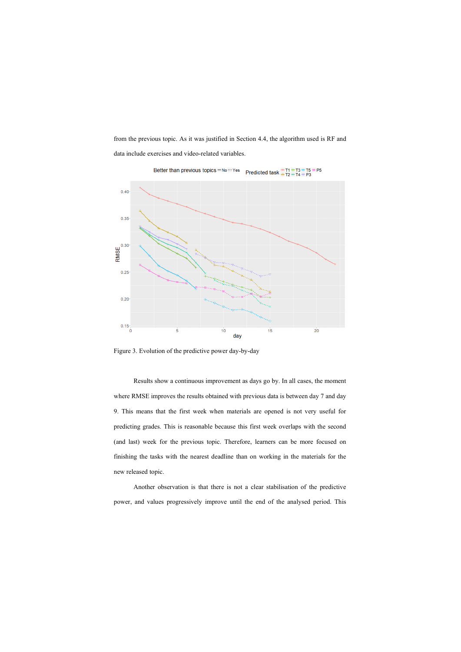from the previous topic. As it was justified in Section 4.4, the algorithm used is RF and data include exercises and video-related variables.



Predicted task  $\frac{+}{+}$  T<sub>1</sub> + T<sub>1</sub>  $\div$  T<sub>1</sub>  $\div$  T<sub>1</sub> Better than previous topics - No ... Yes

Figure 3. Evolution of the predictive power day-by-day

Results show a continuous improvement as days go by. In all cases, the moment where RMSE improves the results obtained with previous data is between day 7 and day 9. This means that the first week when materials are opened is not very useful for predicting grades. This is reasonable because this first week overlaps with the second (and last) week for the previous topic. Therefore, learners can be more focused on finishing the tasks with the nearest deadline than on working in the materials for the new released topic.

Another observation is that there is not a clear stabilisation of the predictive power, and values progressively improve until the end of the analysed period. This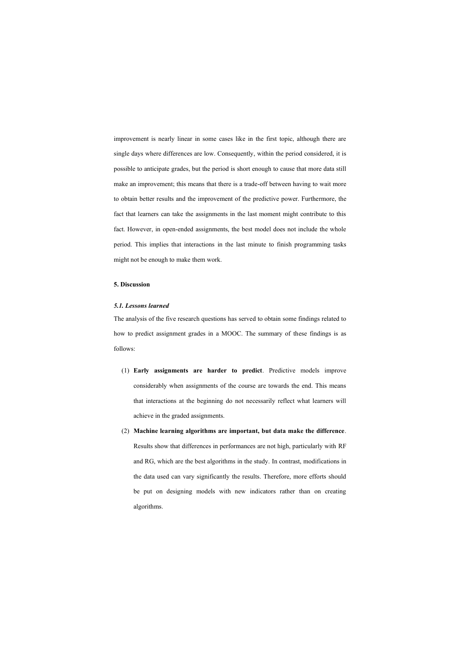improvement is nearly linear in some cases like in the first topic, although there are single days where differences are low. Consequently, within the period considered, it is possible to anticipate grades, but the period is short enough to cause that more data still make an improvement; this means that there is a trade-off between having to wait more to obtain better results and the improvement of the predictive power. Furthermore, the fact that learners can take the assignments in the last moment might contribute to this fact. However, in open-ended assignments, the best model does not include the whole period. This implies that interactions in the last minute to finish programming tasks might not be enough to make them work.

### **5. Discussion**

### *5.1. Lessons learned*

The analysis of the five research questions has served to obtain some findings related to how to predict assignment grades in a MOOC. The summary of these findings is as follows:

- (1) **Early assignments are harder to predict**. Predictive models improve considerably when assignments of the course are towards the end. This means that interactions at the beginning do not necessarily reflect what learners will achieve in the graded assignments.
- (2) **Machine learning algorithms are important, but data make the difference**. Results show that differences in performances are not high, particularly with RF and RG, which are the best algorithms in the study. In contrast, modifications in the data used can vary significantly the results. Therefore, more efforts should be put on designing models with new indicators rather than on creating algorithms.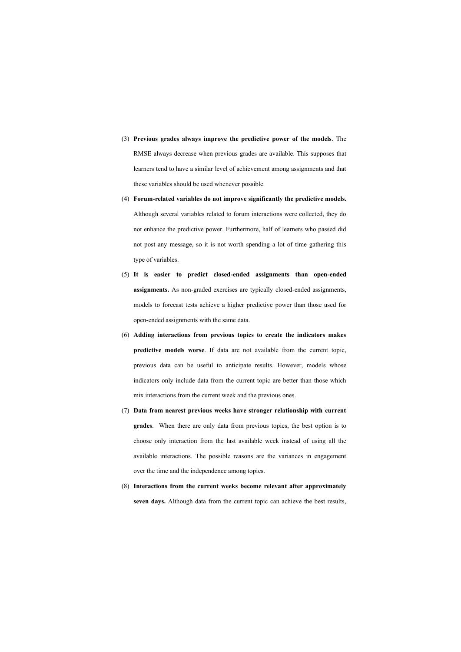- (3) **Previous grades always improve the predictive power of the models**. The RMSE always decrease when previous grades are available. This supposes that learners tend to have a similar level of achievement among assignments and that these variables should be used whenever possible.
- (4) **Forum-related variables do not improve significantly the predictive models.** Although several variables related to forum interactions were collected, they do not enhance the predictive power. Furthermore, half of learners who passed did not post any message, so it is not worth spending a lot of time gathering this type of variables.
- (5) **It is easier to predict closed-ended assignments than open-ended assignments.** As non-graded exercises are typically closed-ended assignments, models to forecast tests achieve a higher predictive power than those used for open-ended assignments with the same data.
- (6) **Adding interactions from previous topics to create the indicators makes predictive models worse**. If data are not available from the current topic, previous data can be useful to anticipate results. However, models whose indicators only include data from the current topic are better than those which mix interactions from the current week and the previous ones.
- (7) **Data from nearest previous weeks have stronger relationship with current grades**. When there are only data from previous topics, the best option is to choose only interaction from the last available week instead of using all the available interactions. The possible reasons are the variances in engagement over the time and the independence among topics.
- (8) **Interactions from the current weeks become relevant after approximately seven days.** Although data from the current topic can achieve the best results,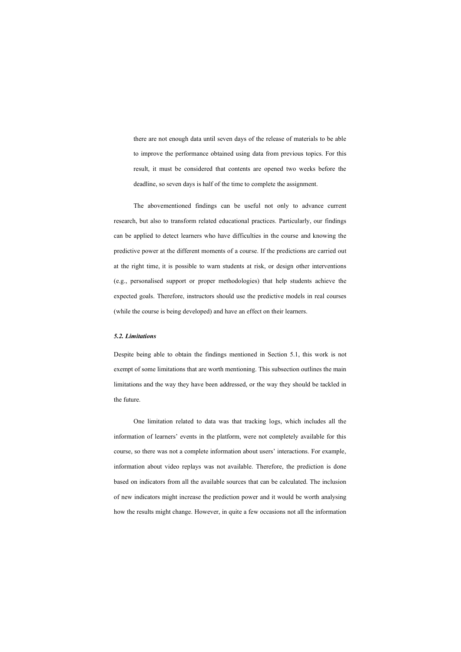there are not enough data until seven days of the release of materials to be able to improve the performance obtained using data from previous topics. For this result, it must be considered that contents are opened two weeks before the deadline, so seven days is half of the time to complete the assignment.

The abovementioned findings can be useful not only to advance current research, but also to transform related educational practices. Particularly, our findings can be applied to detect learners who have difficulties in the course and knowing the predictive power at the different moments of a course. If the predictions are carried out at the right time, it is possible to warn students at risk, or design other interventions (e.g., personalised support or proper methodologies) that help students achieve the expected goals. Therefore, instructors should use the predictive models in real courses (while the course is being developed) and have an effect on their learners.

### *5.2. Limitations*

Despite being able to obtain the findings mentioned in Section 5.1, this work is not exempt of some limitations that are worth mentioning. This subsection outlines the main limitations and the way they have been addressed, or the way they should be tackled in the future.

One limitation related to data was that tracking logs, which includes all the information of learners' events in the platform, were not completely available for this course, so there was not a complete information about users' interactions. For example, information about video replays was not available. Therefore, the prediction is done based on indicators from all the available sources that can be calculated. The inclusion of new indicators might increase the prediction power and it would be worth analysing how the results might change. However, in quite a few occasions not all the information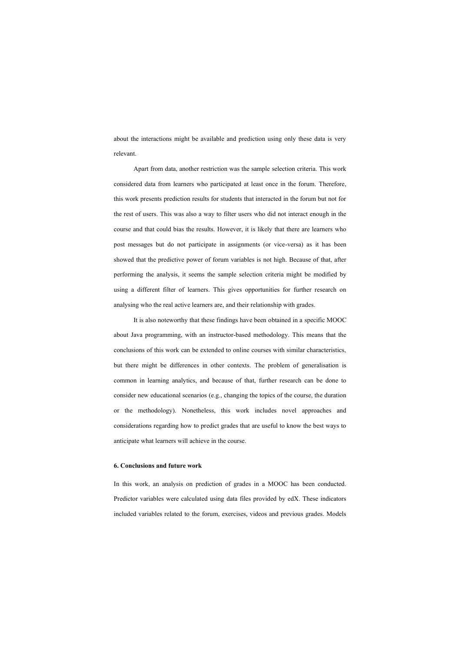about the interactions might be available and prediction using only these data is very relevant.

Apart from data, another restriction was the sample selection criteria. This work considered data from learners who participated at least once in the forum. Therefore, this work presents prediction results for students that interacted in the forum but not for the rest of users. This was also a way to filter users who did not interact enough in the course and that could bias the results. However, it is likely that there are learners who post messages but do not participate in assignments (or vice-versa) as it has been showed that the predictive power of forum variables is not high. Because of that, after performing the analysis, it seems the sample selection criteria might be modified by using a different filter of learners. This gives opportunities for further research on analysing who the real active learners are, and their relationship with grades.

It is also noteworthy that these findings have been obtained in a specific MOOC about Java programming, with an instructor-based methodology. This means that the conclusions of this work can be extended to online courses with similar characteristics, but there might be differences in other contexts. The problem of generalisation is common in learning analytics, and because of that, further research can be done to consider new educational scenarios (e.g., changing the topics of the course, the duration or the methodology). Nonetheless, this work includes novel approaches and considerations regarding how to predict grades that are useful to know the best ways to anticipate what learners will achieve in the course.

### **6. Conclusions and future work**

In this work, an analysis on prediction of grades in a MOOC has been conducted. Predictor variables were calculated using data files provided by edX. These indicators included variables related to the forum, exercises, videos and previous grades. Models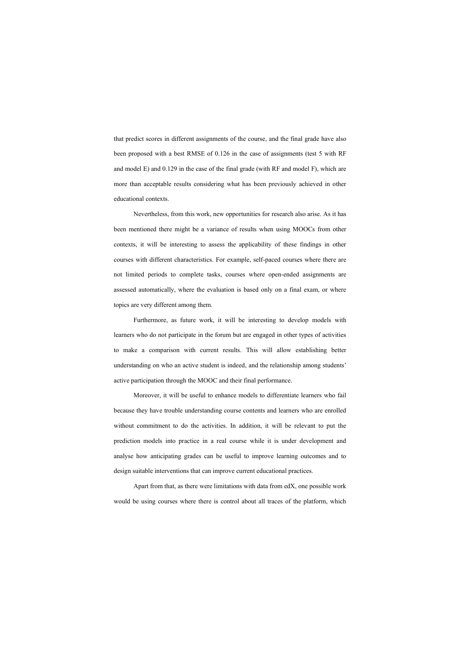that predict scores in different assignments of the course, and the final grade have also been proposed with a best RMSE of 0.126 in the case of assignments (test 5 with RF and model E) and 0.129 in the case of the final grade (with RF and model F), which are more than acceptable results considering what has been previously achieved in other educational contexts.

Nevertheless, from this work, new opportunities for research also arise. As it has been mentioned there might be a variance of results when using MOOCs from other contexts, it will be interesting to assess the applicability of these findings in other courses with different characteristics. For example, self-paced courses where there are not limited periods to complete tasks, courses where open-ended assignments are assessed automatically, where the evaluation is based only on a final exam, or where topics are very different among them.

Furthermore, as future work, it will be interesting to develop models with learners who do not participate in the forum but are engaged in other types of activities to make a comparison with current results. This will allow establishing better understanding on who an active student is indeed, and the relationship among students' active participation through the MOOC and their final performance.

Moreover, it will be useful to enhance models to differentiate learners who fail because they have trouble understanding course contents and learners who are enrolled without commitment to do the activities. In addition, it will be relevant to put the prediction models into practice in a real course while it is under development and analyse how anticipating grades can be useful to improve learning outcomes and to design suitable interventions that can improve current educational practices.

Apart from that, as there were limitations with data from edX, one possible work would be using courses where there is control about all traces of the platform, which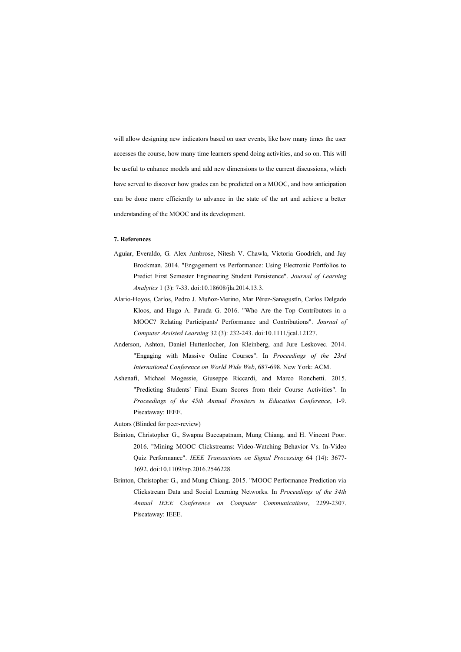will allow designing new indicators based on user events, like how many times the user accesses the course, how many time learners spend doing activities, and so on. This will be useful to enhance models and add new dimensions to the current discussions, which have served to discover how grades can be predicted on a MOOC, and how anticipation can be done more efficiently to advance in the state of the art and achieve a better understanding of the MOOC and its development.

### **7. References**

- Aguiar, Everaldo, G. Alex Ambrose, Nitesh V. Chawla, Victoria Goodrich, and Jay Brockman. 2014. "Engagement vs Performance: Using Electronic Portfolios to Predict First Semester Engineering Student Persistence". *Journal of Learning Analytics* 1 (3): 7-33. doi:10.18608/jla.2014.13.3.
- Alario-Hoyos, Carlos, Pedro J. Muñoz-Merino, Mar Pérez-Sanagustín, Carlos Delgado Kloos, and Hugo A. Parada G. 2016. "Who Are the Top Contributors in a MOOC? Relating Participants' Performance and Contributions". *Journal of Computer Assisted Learning* 32 (3): 232-243. doi:10.1111/jcal.12127.
- Anderson, Ashton, Daniel Huttenlocher, Jon Kleinberg, and Jure Leskovec. 2014. "Engaging with Massive Online Courses". In *Proceedings of the 23rd International Conference on World Wide Web*, 687-698. New York: ACM.
- Ashenafi, Michael Mogessie, Giuseppe Riccardi, and Marco Ronchetti. 2015. "Predicting Students' Final Exam Scores from their Course Activities". In *Proceedings of the 45th Annual Frontiers in Education Conference*, 1-9. Piscataway: IEEE.

Autors (Blinded for peer-review)

- Brinton, Christopher G., Swapna Buccapatnam, Mung Chiang, and H. Vincent Poor. 2016. "Mining MOOC Clickstreams: Video-Watching Behavior Vs. In-Video Quiz Performance". *IEEE Transactions on Signal Processing* 64 (14): 3677- 3692. doi:10.1109/tsp.2016.2546228.
- Brinton, Christopher G., and Mung Chiang. 2015. "MOOC Performance Prediction via Clickstream Data and Social Learning Networks. In *Proceedings of the 34th Annual IEEE Conference on Computer Communications*, 2299-2307. Piscataway: IEEE.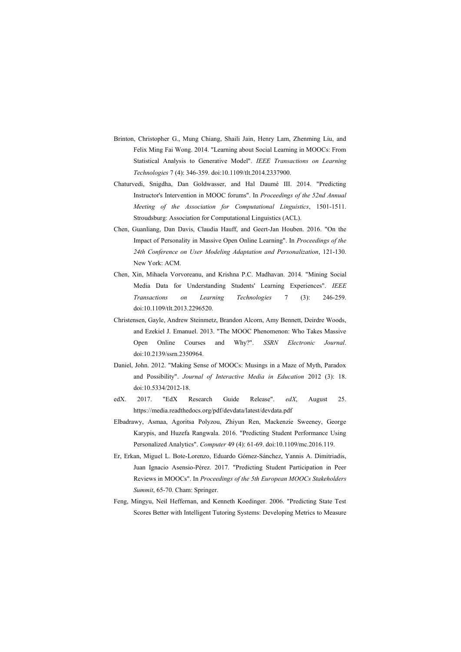- Brinton, Christopher G., Mung Chiang, Shaili Jain, Henry Lam, Zhenming Liu, and Felix Ming Fai Wong. 2014. "Learning about Social Learning in MOOCs: From Statistical Analysis to Generative Model". *IEEE Transactions on Learning Technologies* 7 (4): 346-359. doi:10.1109/tlt.2014.2337900.
- Chaturvedi, Snigdha, Dan Goldwasser, and Hal Daumé III. 2014. "Predicting Instructor's Intervention in MOOC forums". In *Proceedings of the 52nd Annual Meeting of the Association for Computational Linguistics*, 1501-1511. Stroudsburg: Association for Computational Linguistics (ACL).
- Chen, Guanliang, Dan Davis, Claudia Hauff, and Geert-Jan Houben. 2016. "On the Impact of Personality in Massive Open Online Learning". In *Proceedings of the 24th Conference on User Modeling Adaptation and Personalization*, 121-130. New York: ACM.
- Chen, Xin, Mihaela Vorvoreanu, and Krishna P.C. Madhavan. 2014. "Mining Social Media Data for Understanding Students' Learning Experiences". *IEEE Transactions on Learning Technologies* 7 (3): 246-259. doi:10.1109/tlt.2013.2296520.
- Christensen, Gayle, Andrew Steinmetz, Brandon Alcorn, Amy Bennett, Deirdre Woods, and Ezekiel J. Emanuel. 2013. "The MOOC Phenomenon: Who Takes Massive Open Online Courses and Why?". *SSRN Electronic Journal*. doi:10.2139/ssrn.2350964.
- Daniel, John. 2012. "Making Sense of MOOCs: Musings in a Maze of Myth, Paradox and Possibility". *Journal of Interactive Media in Education* 2012 (3): 18. doi:10.5334/2012-18.
- edX. 2017. "EdX Research Guide Release". *edX*, August 25. https://media.readthedocs.org/pdf/devdata/latest/devdata.pdf
- Elbadrawy, Asmaa, Agoritsa Polyzou, Zhiyun Ren, Mackenzie Sweeney, George Karypis, and Huzefa Rangwala. 2016. "Predicting Student Performance Using Personalized Analytics". *Computer* 49 (4): 61-69. doi:10.1109/mc.2016.119.
- Er, Erkan, Miguel L. Bote-Lorenzo, Eduardo Gómez-Sánchez, Yannis A. Dimitriadis, Juan Ignacio Asensio-Pérez. 2017. "Predicting Student Participation in Peer Reviews in MOOCs". In *Proceedings of the 5th European MOOCs Stakeholders Summit*, 65-70. Cham: Springer.
- Feng, Mingyu, Neil Heffernan, and Kenneth Koedinger. 2006. "Predicting State Test Scores Better with Intelligent Tutoring Systems: Developing Metrics to Measure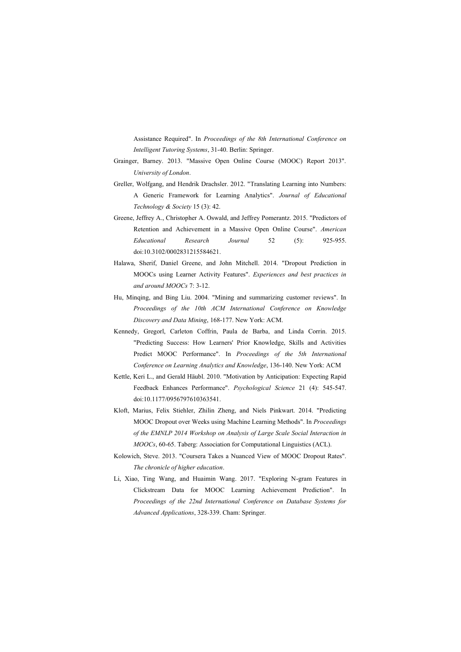Assistance Required". In *Proceedings of the 8th International Conference on Intelligent Tutoring Systems*, 31-40. Berlin: Springer.

- Grainger, Barney. 2013. "Massive Open Online Course (MOOC) Report 2013". *University of London*.
- Greller, Wolfgang, and Hendrik Drachsler. 2012. "Translating Learning into Numbers: A Generic Framework for Learning Analytics". *Journal of Educational Technology & Society* 15 (3): 42.
- Greene, Jeffrey A., Christopher A. Oswald, and Jeffrey Pomerantz. 2015. "Predictors of Retention and Achievement in a Massive Open Online Course". *American Educational Research Journal* 52 (5): 925-955. doi:10.3102/0002831215584621.
- Halawa, Sherif, Daniel Greene, and John Mitchell. 2014. "Dropout Prediction in MOOCs using Learner Activity Features". *Experiences and best practices in and around MOOCs* 7: 3-12.
- Hu, Minqing, and Bing Liu. 2004. "Mining and summarizing customer reviews". In *Proceedings of the 10th ACM International Conference on Knowledge Discovery and Data Mining*, 168-177. New York: ACM.
- Kennedy, Gregorl, Carleton Coffrin, Paula de Barba, and Linda Corrin. 2015. "Predicting Success: How Learners' Prior Knowledge, Skills and Activities Predict MOOC Performance". In *Proceedings of the 5th International Conference on Learning Analytics and Knowledge*, 136-140. New York: ACM
- Kettle, Keri L., and Gerald Häubl. 2010. "Motivation by Anticipation: Expecting Rapid Feedback Enhances Performance". *Psychological Science* 21 (4): 545-547. doi:10.1177/0956797610363541.
- Kloft, Marius, Felix Stiehler, Zhilin Zheng, and Niels Pinkwart. 2014. "Predicting MOOC Dropout over Weeks using Machine Learning Methods". In *Proceedings of the EMNLP 2014 Workshop on Analysis of Large Scale Social Interaction in MOOCs*, 60-65. Taberg: Association for Computational Linguistics (ACL).
- Kolowich, Steve. 2013. "Coursera Takes a Nuanced View of MOOC Dropout Rates". *The chronicle of higher education*.
- Li, Xiao, Ting Wang, and Huaimin Wang. 2017. "Exploring N-gram Features in Clickstream Data for MOOC Learning Achievement Prediction". In *Proceedings of the 22nd International Conference on Database Systems for Advanced Applications*, 328-339. Cham: Springer.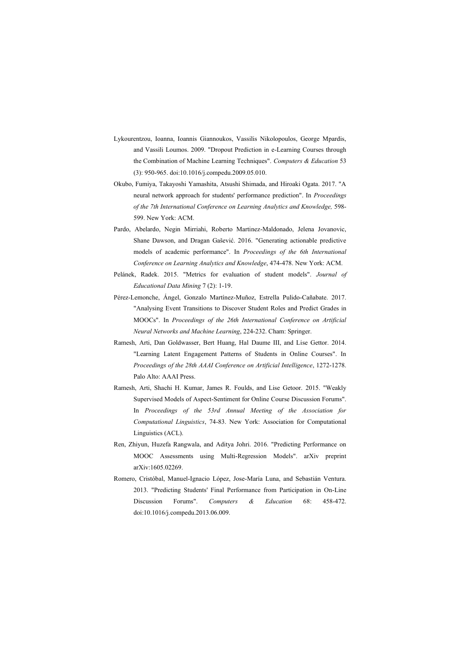- Lykourentzou, Ioanna, Ioannis Giannoukos, Vassilis Nikolopoulos, George Mpardis, and Vassili Loumos. 2009. "Dropout Prediction in e-Learning Courses through the Combination of Machine Learning Techniques". *Computers & Education* 53 (3): 950-965. doi:10.1016/j.compedu.2009.05.010.
- Okubo, Fumiya, Takayoshi Yamashita, Atsushi Shimada, and Hiroaki Ogata. 2017. "A neural network approach for students' performance prediction". In *Proceedings of the 7th International Conference on Learning Analytics and Knowledge,* 598- 599. New York: ACM.
- Pardo, Abelardo, Negin Mirriahi, Roberto Martinez-Maldonado, Jelena Jovanovic, Shane Dawson, and Dragan Gašević. 2016. "Generating actionable predictive models of academic performance". In *Proceedings of the 6th International Conference on Learning Analytics and Knowledge*, 474-478. New York: ACM.
- Pelánek, Radek. 2015. "Metrics for evaluation of student models". *Journal of Educational Data Mining* 7 (2): 1-19.
- Pérez-Lemonche, Ángel, Gonzalo Martínez-Muñoz, Estrella Pulido-Cañabate. 2017. "Analysing Event Transitions to Discover Student Roles and Predict Grades in MOOCs". In *Proceedings of the 26th International Conference on Artificial Neural Networks and Machine Learning*, 224-232. Cham: Springer.
- Ramesh, Arti, Dan Goldwasser, Bert Huang, Hal Daume III, and Lise Gettor. 2014. "Learning Latent Engagement Patterns of Students in Online Courses". In *Proceedings of the 28th AAAI Conference on Artificial Intelligence*, 1272-1278. Palo Alto: AAAI Press.
- Ramesh, Arti, Shachi H. Kumar, James R. Foulds, and Lise Getoor. 2015. "Weakly Supervised Models of Aspect-Sentiment for Online Course Discussion Forums". In *Proceedings of the 53rd Annual Meeting of the Association for Computational Linguistics*, 74-83. New York: Association for Computational Linguistics (ACL).
- Ren, Zhiyun, Huzefa Rangwala, and Aditya Johri. 2016. "Predicting Performance on MOOC Assessments using Multi-Regression Models". arXiv preprint arXiv:1605.02269.
- Romero, Cristóbal, Manuel-Ignacio López, Jose-María Luna, and Sebastián Ventura. 2013. "Predicting Students' Final Performance from Participation in On-Line Discussion Forums". *Computers & Education* 68: 458-472. doi:10.1016/j.compedu.2013.06.009.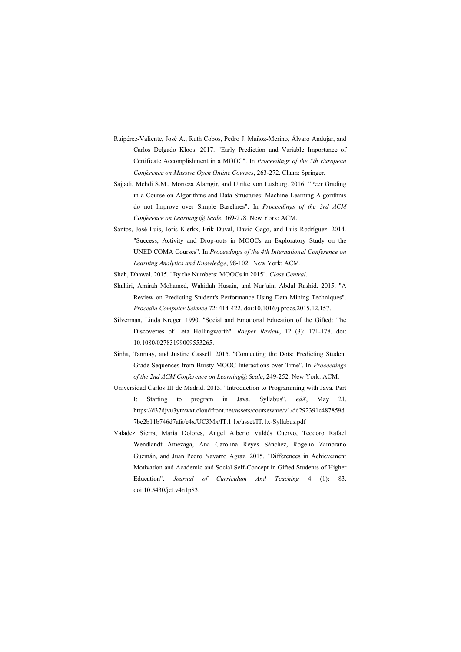- Ruipérez-Valiente, José A., Ruth Cobos, Pedro J. Muñoz-Merino, Álvaro Andujar, and Carlos Delgado Kloos. 2017. "Early Prediction and Variable Importance of Certificate Accomplishment in a MOOC". In *Proceedings of the 5th European Conference on Massive Open Online Courses*, 263-272. Cham: Springer.
- Sajjadi, Mehdi S.M., Morteza Alamgir, and Ulrike von Luxburg. 2016. "Peer Grading in a Course on Algorithms and Data Structures: Machine Learning Algorithms do not Improve over Simple Baselines". In *Proceedings of the 3rd ACM Conference on Learning @ Scale*, 369-278. New York: ACM.
- Santos, José Luis, Joris Klerkx, Erik Duval, David Gago, and Luis Rodríguez. 2014. "Success, Activity and Drop-outs in MOOCs an Exploratory Study on the UNED COMA Courses". In *Proceedings of the 4th International Conference on Learning Analytics and Knowledge*, 98-102. New York: ACM.

Shah, Dhawal. 2015. "By the Numbers: MOOCs in 2015". *Class Central*.

- Shahiri, Amirah Mohamed, Wahidah Husain, and Nur'aini Abdul Rashid. 2015. "A Review on Predicting Student's Performance Using Data Mining Techniques". *Procedia Computer Science* 72: 414-422. doi:10.1016/j.procs.2015.12.157.
- Silverman, Linda Kreger. 1990. "Social and Emotional Education of the Gifted: The Discoveries of Leta Hollingworth". *Roeper Review*, 12 (3): 171-178. doi: 10.1080/02783199009553265.
- Sinha, Tanmay, and Justine Cassell. 2015. "Connecting the Dots: Predicting Student Grade Sequences from Bursty MOOC Interactions over Time". In *Proceedings of the 2nd ACM Conference on Learning@ Scale*, 249-252. New York: ACM.
- Universidad Carlos III de Madrid. 2015. "Introduction to Programming with Java. Part I: Starting to program in Java. Syllabus". *edX*, May 21. https://d37djvu3ytnwxt.cloudfront.net/assets/courseware/v1/dd292391c487859d 7be2b11b746d7afa/c4x/UC3Mx/IT.1.1x/asset/IT.1x-Syllabus.pdf
- Valadez Sierra, María Dolores, Angel Alberto Valdés Cuervo, Teodoro Rafael Wendlandt Amezaga, Ana Carolina Reyes Sánchez, Rogelio Zambrano Guzmán, and Juan Pedro Navarro Agraz. 2015. "Differences in Achievement Motivation and Academic and Social Self-Concept in Gifted Students of Higher Education". *Journal of Curriculum And Teaching* 4 (1): 83. doi:10.5430/jct.v4n1p83.